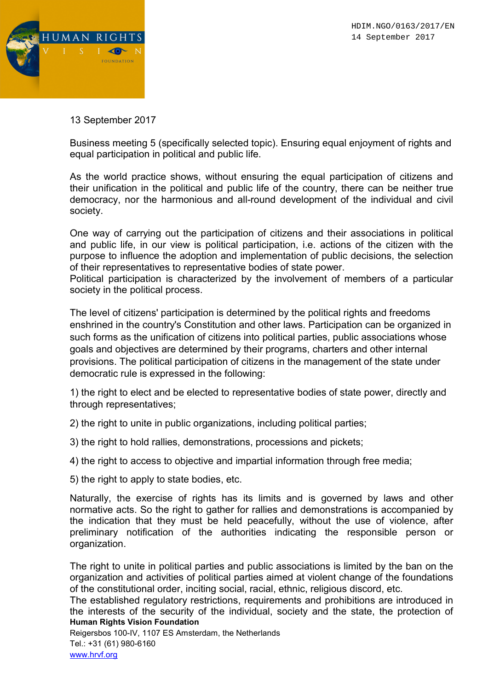



13 September 2017

Business meeting 5 (specifically selected topic). Ensuring equal enjoyment of rights and equal participation in political and public life.

As the world practice shows, without ensuring the equal participation of citizens and their unification in the political and public life of the country, there can be neither true democracy, nor the harmonious and all-round development of the individual and civil society.

One way of carrying out the participation of citizens and their associations in political and public life, in our view is political participation, i.e. actions of the citizen with the purpose to influence the adoption and implementation of public decisions, the selection of their representatives to representative bodies of state power.

Political participation is characterized by the involvement of members of a particular society in the political process.

The level of citizens' participation is determined by the political rights and freedoms enshrined in the country's Constitution and other laws. Participation can be organized in such forms as the unification of citizens into political parties, public associations whose goals and objectives are determined by their programs, charters and other internal provisions. The political participation of citizens in the management of the state under democratic rule is expressed in the following:

1) the right to elect and be elected to representative bodies of state power, directly and through representatives;

2) the right to unite in public organizations, including political parties;

- 3) the right to hold rallies, demonstrations, processions and pickets;
- 4) the right to access to objective and impartial information through free media;

5) the right to apply to state bodies, etc.

Naturally, the exercise of rights has its limits and is governed by laws and other normative acts. So the right to gather for rallies and demonstrations is accompanied by the indication that they must be held peacefully, without the use of violence, after preliminary notification of the authorities indicating the responsible person or organization.

The right to unite in political parties and public associations is limited by the ban on the organization and activities of political parties aimed at violent change of the foundations of the constitutional order, inciting social, racial, ethnic, religious discord, etc.

Human Rights Vision Foundation The established regulatory restrictions, requirements and prohibitions are introduced in the interests of the security of the individual, society and the state, the protection of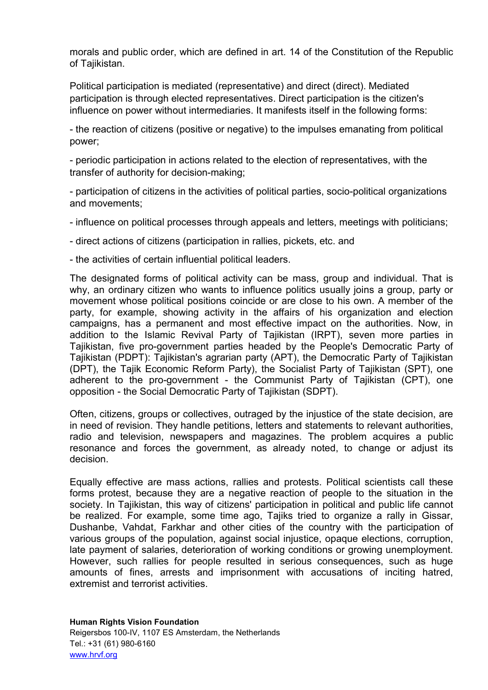morals and public order, which are defined in art. 14 of the Constitution of the Republic of Tajikistan.

Political participation is mediated (representative) and direct (direct). Mediated participation is through elected representatives. Direct participation is the citizen's influence on power without intermediaries. It manifests itself in the following forms:

- the reaction of citizens (positive or negative) to the impulses emanating from political power;

- periodic participation in actions related to the election of representatives, with the transfer of authority for decision-making;

- participation of citizens in the activities of political parties, socio-political organizations and movements;

- influence on political processes through appeals and letters, meetings with politicians;

- direct actions of citizens (participation in rallies, pickets, etc. and

- the activities of certain influential political leaders.

The designated forms of political activity can be mass, group and individual. That is why, an ordinary citizen who wants to influence politics usually joins a group, party or movement whose political positions coincide or are close to his own. A member of the party, for example, showing activity in the affairs of his organization and election campaigns, has a permanent and most effective impact on the authorities. Now, in addition to the Islamic Revival Party of Tajikistan (IRPT), seven more parties in Tajikistan, five pro-government parties headed by the People's Democratic Party of Tajikistan (PDPT): Tajikistan's agrarian party (APT), the Democratic Party of Tajikistan (DPT), the Tajik Economic Reform Party), the Socialist Party of Tajikistan (SPT), one adherent to the pro-government - the Communist Party of Tajikistan (CPT), one opposition - the Social Democratic Party of Tajikistan (SDPT).

Often, citizens, groups or collectives, outraged by the injustice of the state decision, are in need of revision. They handle petitions, letters and statements to relevant authorities, radio and television, newspapers and magazines. The problem acquires a public resonance and forces the government, as already noted, to change or adjust its decision.

Equally effective are mass actions, rallies and protests. Political scientists call these forms protest, because they are a negative reaction of people to the situation in the society. In Tajikistan, this way of citizens' participation in political and public life cannot be realized. For example, some time ago, Tajiks tried to organize a rally in Gissar, Dushanbe, Vahdat, Farkhar and other cities of the country with the participation of various groups of the population, against social injustice, opaque elections, corruption, late payment of salaries, deterioration of working conditions or growing unemployment. However, such rallies for people resulted in serious consequences, such as huge amounts of fines, arrests and imprisonment with accusations of inciting hatred, extremist and terrorist activities.

Human Rights Vision Foundation Reigersbos 100-IV, 1107 ES Amsterdam, the Netherlands Tel.: +31 (61) 980-6160 www.hrvf.org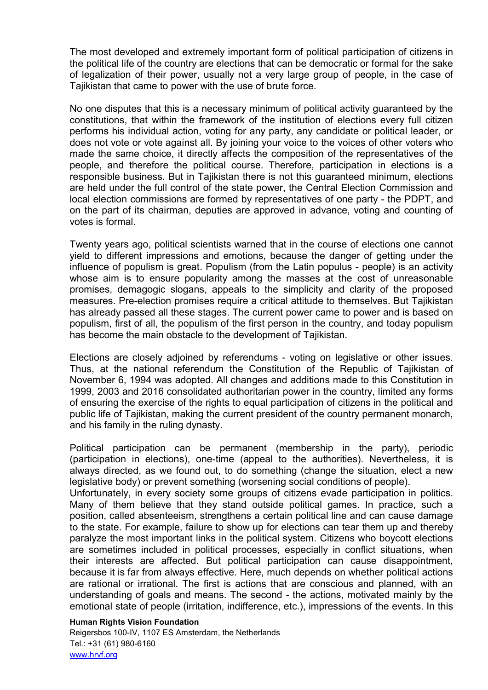The most developed and extremely important form of political participation of citizens in the political life of the country are elections that can be democratic or formal for the sake of legalization of their power, usually not a very large group of people, in the case of Tajikistan that came to power with the use of brute force.

No one disputes that this is a necessary minimum of political activity guaranteed by the constitutions, that within the framework of the institution of elections every full citizen performs his individual action, voting for any party, any candidate or political leader, or does not vote or vote against all. By joining your voice to the voices of other voters who made the same choice, it directly affects the composition of the representatives of the people, and therefore the political course. Therefore, participation in elections is a responsible business. But in Tajikistan there is not this guaranteed minimum, elections are held under the full control of the state power, the Central Election Commission and local election commissions are formed by representatives of one party - the PDPT, and on the part of its chairman, deputies are approved in advance, voting and counting of votes is formal.

Twenty years ago, political scientists warned that in the course of elections one cannot yield to different impressions and emotions, because the danger of getting under the influence of populism is great. Populism (from the Latin populus - people) is an activity whose aim is to ensure popularity among the masses at the cost of unreasonable promises, demagogic slogans, appeals to the simplicity and clarity of the proposed measures. Pre-election promises require a critical attitude to themselves. But Tajikistan has already passed all these stages. The current power came to power and is based on populism, first of all, the populism of the first person in the country, and today populism has become the main obstacle to the development of Tajikistan.

Elections are closely adjoined by referendums - voting on legislative or other issues. Thus, at the national referendum the Constitution of the Republic of Tajikistan of November 6, 1994 was adopted. All changes and additions made to this Constitution in 1999, 2003 and 2016 consolidated authoritarian power in the country, limited any forms of ensuring the exercise of the rights to equal participation of citizens in the political and public life of Tajikistan, making the current president of the country permanent monarch, and his family in the ruling dynasty.

Political participation can be permanent (membership in the party), periodic (participation in elections), one-time (appeal to the authorities). Nevertheless, it is always directed, as we found out, to do something (change the situation, elect a new legislative body) or prevent something (worsening social conditions of people).

Unfortunately, in every society some groups of citizens evade participation in politics. Many of them believe that they stand outside political games. In practice, such a position, called absenteeism, strengthens a certain political line and can cause damage to the state. For example, failure to show up for elections can tear them up and thereby paralyze the most important links in the political system. Citizens who boycott elections are sometimes included in political processes, especially in conflict situations, when their interests are affected. But political participation can cause disappointment, because it is far from always effective. Here, much depends on whether political actions are rational or irrational. The first is actions that are conscious and planned, with an understanding of goals and means. The second - the actions, motivated mainly by the emotional state of people (irritation, indifference, etc.), impressions of the events. In this

#### Human Rights Vision Foundation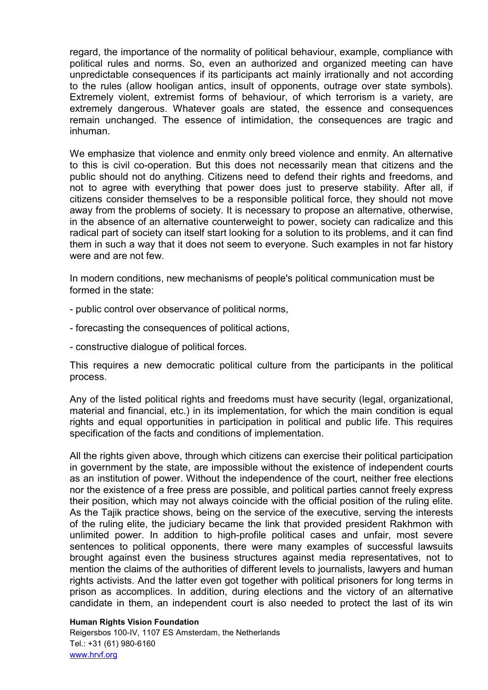regard, the importance of the normality of political behaviour, example, compliance with political rules and norms. So, even an authorized and organized meeting can have unpredictable consequences if its participants act mainly irrationally and not according to the rules (allow hooligan antics, insult of opponents, outrage over state symbols). Extremely violent, extremist forms of behaviour, of which terrorism is a variety, are extremely dangerous. Whatever goals are stated, the essence and consequences remain unchanged. The essence of intimidation, the consequences are tragic and inhuman.

We emphasize that violence and enmity only breed violence and enmity. An alternative to this is civil co-operation. But this does not necessarily mean that citizens and the public should not do anything. Citizens need to defend their rights and freedoms, and not to agree with everything that power does just to preserve stability. After all, if citizens consider themselves to be a responsible political force, they should not move away from the problems of society. It is necessary to propose an alternative, otherwise, in the absence of an alternative counterweight to power, society can radicalize and this radical part of society can itself start looking for a solution to its problems, and it can find them in such a way that it does not seem to everyone. Such examples in not far history were and are not few.

In modern conditions, new mechanisms of people's political communication must be formed in the state:

- public control over observance of political norms,
- forecasting the consequences of political actions,
- constructive dialogue of political forces.

This requires a new democratic political culture from the participants in the political process.

Any of the listed political rights and freedoms must have security (legal, organizational, material and financial, etc.) in its implementation, for which the main condition is equal rights and equal opportunities in participation in political and public life. This requires specification of the facts and conditions of implementation.

All the rights given above, through which citizens can exercise their political participation in government by the state, are impossible without the existence of independent courts as an institution of power. Without the independence of the court, neither free elections nor the existence of a free press are possible, and political parties cannot freely express their position, which may not always coincide with the official position of the ruling elite. As the Tajik practice shows, being on the service of the executive, serving the interests of the ruling elite, the judiciary became the link that provided president Rakhmon with unlimited power. In addition to high-profile political cases and unfair, most severe sentences to political opponents, there were many examples of successful lawsuits brought against even the business structures against media representatives, not to mention the claims of the authorities of different levels to journalists, lawyers and human rights activists. And the latter even got together with political prisoners for long terms in prison as accomplices. In addition, during elections and the victory of an alternative candidate in them, an independent court is also needed to protect the last of its win

## Human Rights Vision Foundation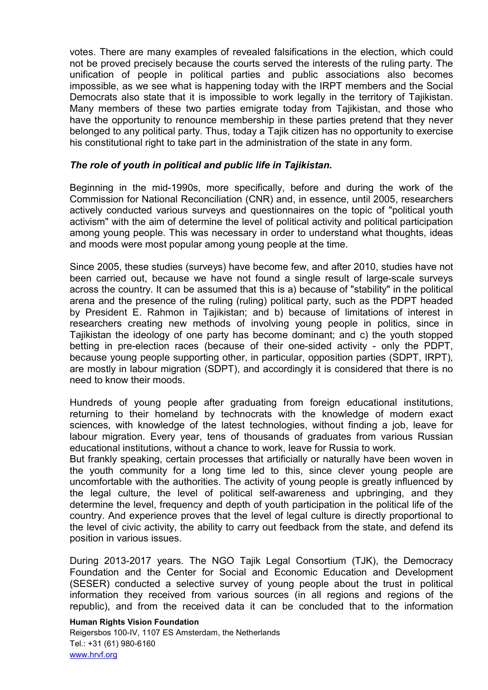votes. There are many examples of revealed falsifications in the election, which could not be proved precisely because the courts served the interests of the ruling party. The unification of people in political parties and public associations also becomes impossible, as we see what is happening today with the IRPT members and the Social Democrats also state that it is impossible to work legally in the territory of Tajikistan. Many members of these two parties emigrate today from Tajikistan, and those who have the opportunity to renounce membership in these parties pretend that they never belonged to any political party. Thus, today a Tajik citizen has no opportunity to exercise his constitutional right to take part in the administration of the state in any form.

## The role of youth in political and public life in Tajikistan.

Beginning in the mid-1990s, more specifically, before and during the work of the Commission for National Reconciliation (CNR) and, in essence, until 2005, researchers actively conducted various surveys and questionnaires on the topic of "political youth activism" with the aim of determine the level of political activity and political participation among young people. This was necessary in order to understand what thoughts, ideas and moods were most popular among young people at the time.

Since 2005, these studies (surveys) have become few, and after 2010, studies have not been carried out, because we have not found a single result of large-scale surveys across the country. It can be assumed that this is a) because of "stability" in the political arena and the presence of the ruling (ruling) political party, such as the PDPT headed by President E. Rahmon in Tajikistan; and b) because of limitations of interest in researchers creating new methods of involving young people in politics, since in Tajikistan the ideology of one party has become dominant; and c) the youth stopped betting in pre-election races (because of their one-sided activity - only the PDPT, because young people supporting other, in particular, opposition parties (SDPT, IRPT), are mostly in labour migration (SDPT), and accordingly it is considered that there is no need to know their moods.

Hundreds of young people after graduating from foreign educational institutions, returning to their homeland by technocrats with the knowledge of modern exact sciences, with knowledge of the latest technologies, without finding a job, leave for labour migration. Every year, tens of thousands of graduates from various Russian educational institutions, without a chance to work, leave for Russia to work.

But frankly speaking, certain processes that artificially or naturally have been woven in the youth community for a long time led to this, since clever young people are uncomfortable with the authorities. The activity of young people is greatly influenced by the legal culture, the level of political self-awareness and upbringing, and they determine the level, frequency and depth of youth participation in the political life of the country. And experience proves that the level of legal culture is directly proportional to the level of civic activity, the ability to carry out feedback from the state, and defend its position in various issues.

During 2013-2017 years. The NGO Tajik Legal Consortium (TJK), the Democracy Foundation and the Center for Social and Economic Education and Development (SESER) conducted a selective survey of young people about the trust in political information they received from various sources (in all regions and regions of the republic), and from the received data it can be concluded that to the information

# Human Rights Vision Foundation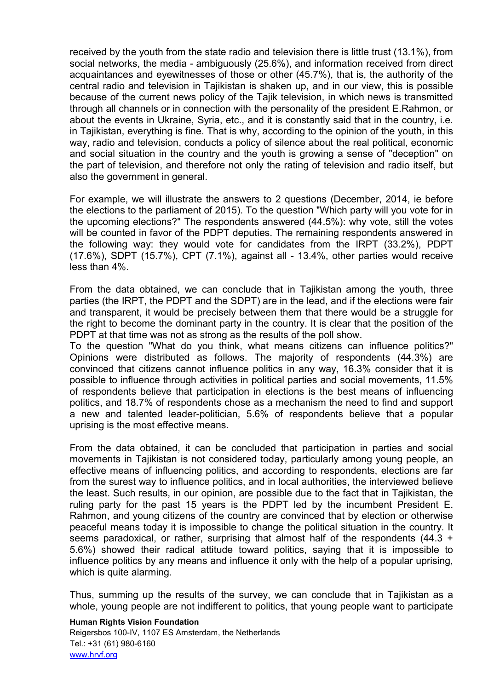received by the youth from the state radio and television there is little trust (13.1%), from social networks, the media - ambiguously (25.6%), and information received from direct acquaintances and eyewitnesses of those or other (45.7%), that is, the authority of the central radio and television in Tajikistan is shaken up, and in our view, this is possible because of the current news policy of the Tajik television, in which news is transmitted through all channels or in connection with the personality of the president E.Rahmon, or about the events in Ukraine, Syria, etc., and it is constantly said that in the country, i.e. in Tajikistan, everything is fine. That is why, according to the opinion of the youth, in this way, radio and television, conducts a policy of silence about the real political, economic and social situation in the country and the youth is growing a sense of "deception" on the part of television, and therefore not only the rating of television and radio itself, but also the government in general.

For example, we will illustrate the answers to 2 questions (December, 2014, ie before the elections to the parliament of 2015). To the question "Which party will you vote for in the upcoming elections?" The respondents answered (44.5%): why vote, still the votes will be counted in favor of the PDPT deputies. The remaining respondents answered in the following way: they would vote for candidates from the IRPT (33.2%), PDPT  $(17.6\%)$ , SDPT  $(15.7\%)$ , CPT  $(7.1\%)$ , against all - 13.4%, other parties would receive less than 4%.

From the data obtained, we can conclude that in Tajikistan among the youth, three parties (the IRPT, the PDPT and the SDPT) are in the lead, and if the elections were fair and transparent, it would be precisely between them that there would be a struggle for the right to become the dominant party in the country. It is clear that the position of the PDPT at that time was not as strong as the results of the poll show.

To the question "What do you think, what means citizens can influence politics?" Opinions were distributed as follows. The majority of respondents (44.3%) are convinced that citizens cannot influence politics in any way, 16.3% consider that it is possible to influence through activities in political parties and social movements, 11.5% of respondents believe that participation in elections is the best means of influencing politics, and 18.7% of respondents chose as a mechanism the need to find and support a new and talented leader-politician, 5.6% of respondents believe that a popular uprising is the most effective means.

From the data obtained, it can be concluded that participation in parties and social movements in Tajikistan is not considered today, particularly among young people, an effective means of influencing politics, and according to respondents, elections are far from the surest way to influence politics, and in local authorities, the interviewed believe the least. Such results, in our opinion, are possible due to the fact that in Tajikistan, the ruling party for the past 15 years is the PDPT led by the incumbent President E. Rahmon, and young citizens of the country are convinced that by election or otherwise peaceful means today it is impossible to change the political situation in the country. It seems paradoxical, or rather, surprising that almost half of the respondents  $(44.3 +$ 5.6%) showed their radical attitude toward politics, saying that it is impossible to influence politics by any means and influence it only with the help of a popular uprising, which is quite alarming.

Thus, summing up the results of the survey, we can conclude that in Tajikistan as a whole, young people are not indifferent to politics, that young people want to participate

## Human Rights Vision Foundation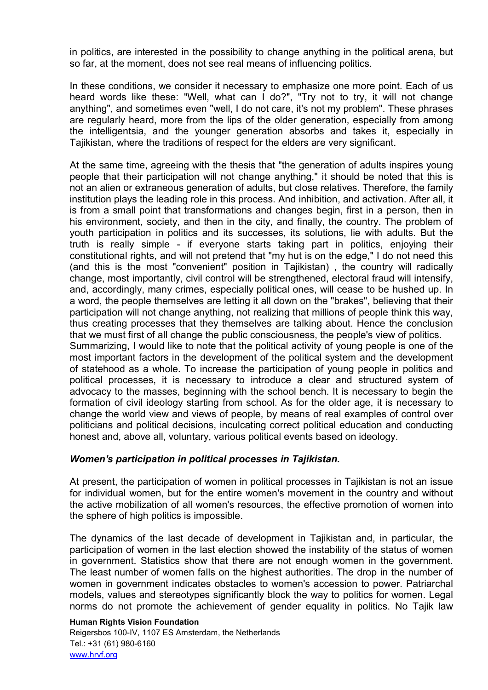in politics, are interested in the possibility to change anything in the political arena, but so far, at the moment, does not see real means of influencing politics.

In these conditions, we consider it necessary to emphasize one more point. Each of us heard words like these: "Well, what can I do?", "Try not to try, it will not change anything", and sometimes even "well, I do not care, it's not my problem". These phrases are regularly heard, more from the lips of the older generation, especially from among the intelligentsia, and the younger generation absorbs and takes it, especially in Tajikistan, where the traditions of respect for the elders are very significant.

At the same time, agreeing with the thesis that "the generation of adults inspires young people that their participation will not change anything," it should be noted that this is not an alien or extraneous generation of adults, but close relatives. Therefore, the family institution plays the leading role in this process. And inhibition, and activation. After all, it is from a small point that transformations and changes begin, first in a person, then in his environment, society, and then in the city, and finally, the country. The problem of youth participation in politics and its successes, its solutions, lie with adults. But the truth is really simple - if everyone starts taking part in politics, enjoying their constitutional rights, and will not pretend that "my hut is on the edge," I do not need this (and this is the most "convenient" position in Tajikistan) , the country will radically change, most importantly, civil control will be strengthened, electoral fraud will intensify, and, accordingly, many crimes, especially political ones, will cease to be hushed up. In a word, the people themselves are letting it all down on the "brakes", believing that their participation will not change anything, not realizing that millions of people think this way, thus creating processes that they themselves are talking about. Hence the conclusion that we must first of all change the public consciousness, the people's view of politics. Summarizing, I would like to note that the political activity of young people is one of the most important factors in the development of the political system and the development of statehood as a whole. To increase the participation of young people in politics and political processes, it is necessary to introduce a clear and structured system of advocacy to the masses, beginning with the school bench. It is necessary to begin the formation of civil ideology starting from school. As for the older age, it is necessary to change the world view and views of people, by means of real examples of control over politicians and political decisions, inculcating correct political education and conducting

# Women's participation in political processes in Tajikistan.

honest and, above all, voluntary, various political events based on ideology.

At present, the participation of women in political processes in Tajikistan is not an issue for individual women, but for the entire women's movement in the country and without the active mobilization of all women's resources, the effective promotion of women into the sphere of high politics is impossible.

The dynamics of the last decade of development in Tajikistan and, in particular, the participation of women in the last election showed the instability of the status of women in government. Statistics show that there are not enough women in the government. The least number of women falls on the highest authorities. The drop in the number of women in government indicates obstacles to women's accession to power. Patriarchal models, values and stereotypes significantly block the way to politics for women. Legal norms do not promote the achievement of gender equality in politics. No Tajik law

## Human Rights Vision Foundation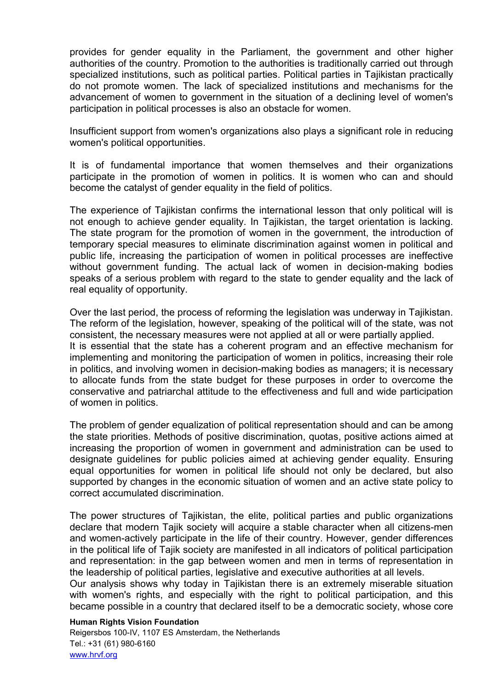provides for gender equality in the Parliament, the government and other higher authorities of the country. Promotion to the authorities is traditionally carried out through specialized institutions, such as political parties. Political parties in Tajikistan practically do not promote women. The lack of specialized institutions and mechanisms for the advancement of women to government in the situation of a declining level of women's participation in political processes is also an obstacle for women.

Insufficient support from women's organizations also plays a significant role in reducing women's political opportunities.

It is of fundamental importance that women themselves and their organizations participate in the promotion of women in politics. It is women who can and should become the catalyst of gender equality in the field of politics.

The experience of Tajikistan confirms the international lesson that only political will is not enough to achieve gender equality. In Tajikistan, the target orientation is lacking. The state program for the promotion of women in the government, the introduction of temporary special measures to eliminate discrimination against women in political and public life, increasing the participation of women in political processes are ineffective without government funding. The actual lack of women in decision-making bodies speaks of a serious problem with regard to the state to gender equality and the lack of real equality of opportunity.

Over the last period, the process of reforming the legislation was underway in Tajikistan. The reform of the legislation, however, speaking of the political will of the state, was not consistent, the necessary measures were not applied at all or were partially applied. It is essential that the state has a coherent program and an effective mechanism for implementing and monitoring the participation of women in politics, increasing their role in politics, and involving women in decision-making bodies as managers; it is necessary to allocate funds from the state budget for these purposes in order to overcome the conservative and patriarchal attitude to the effectiveness and full and wide participation of women in politics.

The problem of gender equalization of political representation should and can be among the state priorities. Methods of positive discrimination, quotas, positive actions aimed at increasing the proportion of women in government and administration can be used to designate guidelines for public policies aimed at achieving gender equality. Ensuring equal opportunities for women in political life should not only be declared, but also supported by changes in the economic situation of women and an active state policy to correct accumulated discrimination.

The power structures of Tajikistan, the elite, political parties and public organizations declare that modern Tajik society will acquire a stable character when all citizens-men and women-actively participate in the life of their country. However, gender differences in the political life of Tajik society are manifested in all indicators of political participation and representation: in the gap between women and men in terms of representation in the leadership of political parties, legislative and executive authorities at all levels.

Our analysis shows why today in Tajikistan there is an extremely miserable situation with women's rights, and especially with the right to political participation, and this became possible in a country that declared itself to be a democratic society, whose core

#### Human Rights Vision Foundation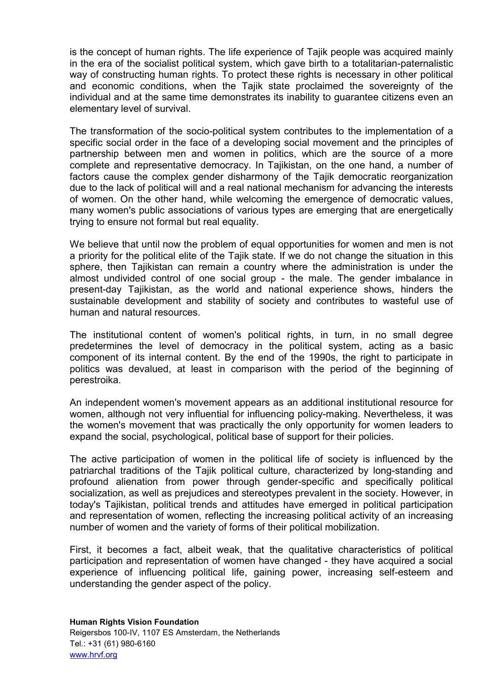is the concept of human rights. The life experience of Tajik people was acquired mainly in the era of the socialist political system, which gave birth to a totalitarian-paternalistic way of constructing human rights. To protect these rights is necessary in other political and economic conditions, when the Tajik state proclaimed the sovereignty of the individual and at the same time demonstrates its inability to guarantee citizens even an elementary level of survival.

The transformation of the socio-political system contributes to the implementation of a specific social order in the face of a developing social movement and the principles of partnership between men and women in politics, which are the source of a more complete and representative democracy. In Tajikistan, on the one hand, a number of factors cause the complex gender disharmony of the Tajik democratic reorganization due to the lack of political will and a real national mechanism for advancing the interests of women. On the other hand, while welcoming the emergence of democratic values, many women's public associations of various types are emerging that are energetically trying to ensure not formal but real equality.

We believe that until now the problem of equal opportunities for women and men is not a priority for the political elite of the Tajik state. If we do not change the situation in this sphere, then Tajikistan can remain a country where the administration is under the almost undivided control of one social group - the male. The gender imbalance in present-day Tajikistan, as the world and national experience shows, hinders the sustainable development and stability of society and contributes to wasteful use of human and natural resources.

The institutional content of women's political rights, in turn, in no small degree predetermines the level of democracy in the political system, acting as a basic component of its internal content. By the end of the 1990s, the right to participate in politics was devalued, at least in comparison with the period of the beginning of perestroika.

An independent women's movement appears as an additional institutional resource for women, although not very influential for influencing policy-making. Nevertheless, it was the women's movement that was practically the only opportunity for women leaders to expand the social, psychological, political base of support for their policies.

The active participation of women in the political life of society is influenced by the patriarchal traditions of the Tajik political culture, characterized by long-standing and profound alienation from power through gender-specific and specifically political socialization, as well as prejudices and stereotypes prevalent in the society. However, in today's Tajikistan, political trends and attitudes have emerged in political participation and representation of women, reflecting the increasing political activity of an increasing number of women and the variety of forms of their political mobilization.

First, it becomes a fact, albeit weak, that the qualitative characteristics of political participation and representation of women have changed - they have acquired a social experience of influencing political life, gaining power, increasing self-esteem and understanding the gender aspect of the policy.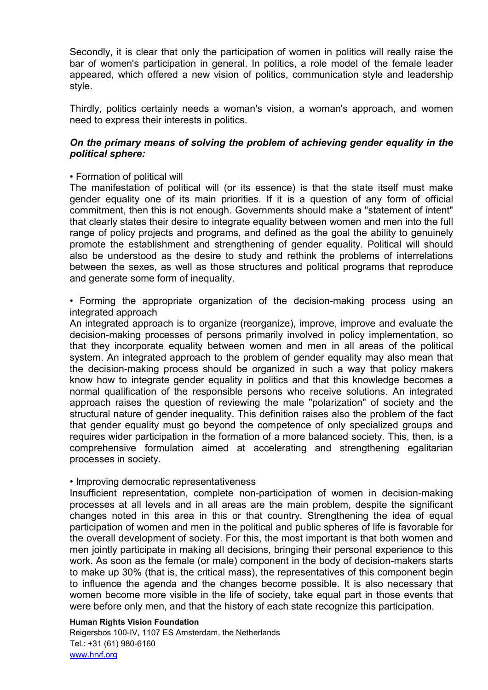Secondly, it is clear that only the participation of women in politics will really raise the bar of women's participation in general. In politics, a role model of the female leader appeared, which offered a new vision of politics, communication style and leadership style.

Thirdly, politics certainly needs a woman's vision, a woman's approach, and women need to express their interests in politics.

# On the primary means of solving the problem of achieving gender equality in the political sphere:

## • Formation of political will

The manifestation of political will (or its essence) is that the state itself must make gender equality one of its main priorities. If it is a question of any form of official commitment, then this is not enough. Governments should make a "statement of intent" that clearly states their desire to integrate equality between women and men into the full range of policy projects and programs, and defined as the goal the ability to genuinely promote the establishment and strengthening of gender equality. Political will should also be understood as the desire to study and rethink the problems of interrelations between the sexes, as well as those structures and political programs that reproduce and generate some form of inequality.

• Forming the appropriate organization of the decision-making process using an integrated approach

An integrated approach is to organize (reorganize), improve, improve and evaluate the decision-making processes of persons primarily involved in policy implementation, so that they incorporate equality between women and men in all areas of the political system. An integrated approach to the problem of gender equality may also mean that the decision-making process should be organized in such a way that policy makers know how to integrate gender equality in politics and that this knowledge becomes a normal qualification of the responsible persons who receive solutions. An integrated approach raises the question of reviewing the male "polarization" of society and the structural nature of gender inequality. This definition raises also the problem of the fact that gender equality must go beyond the competence of only specialized groups and requires wider participation in the formation of a more balanced society. This, then, is a comprehensive formulation aimed at accelerating and strengthening egalitarian processes in society.

## • Improving democratic representativeness

Insufficient representation, complete non-participation of women in decision-making processes at all levels and in all areas are the main problem, despite the significant changes noted in this area in this or that country. Strengthening the idea of equal participation of women and men in the political and public spheres of life is favorable for the overall development of society. For this, the most important is that both women and men jointly participate in making all decisions, bringing their personal experience to this work. As soon as the female (or male) component in the body of decision-makers starts to make up 30% (that is, the critical mass), the representatives of this component begin to influence the agenda and the changes become possible. It is also necessary that women become more visible in the life of society, take equal part in those events that were before only men, and that the history of each state recognize this participation.

## Human Rights Vision Foundation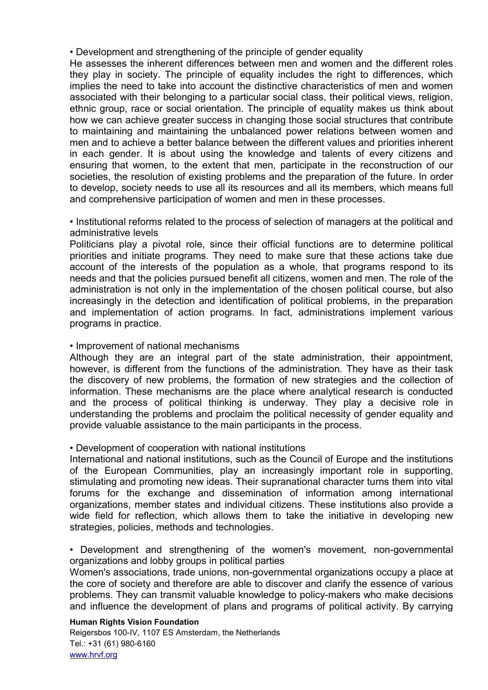• Development and strengthening of the principle of gender equality

He assesses the inherent differences between men and women and the different roles they play in society. The principle of equality includes the right to differences, which implies the need to take into account the distinctive characteristics of men and women associated with their belonging to a particular social class, their political views, religion, ethnic group, race or social orientation. The principle of equality makes us think about how we can achieve greater success in changing those social structures that contribute to maintaining and maintaining the unbalanced power relations between women and men and to achieve a better balance between the different values and priorities inherent in each gender. It is about using the knowledge and talents of every citizens and ensuring that women, to the extent that men, participate in the reconstruction of our societies, the resolution of existing problems and the preparation of the future. In order to develop, society needs to use all its resources and all its members, which means full and comprehensive participation of women and men in these processes.

• Institutional reforms related to the process of selection of managers at the political and administrative levels

Politicians play a pivotal role, since their official functions are to determine political priorities and initiate programs. They need to make sure that these actions take due account of the interests of the population as a whole, that programs respond to its needs and that the policies pursued benefit all citizens, women and men. The role of the administration is not only in the implementation of the chosen political course, but also increasingly in the detection and identification of political problems, in the preparation and implementation of action programs. In fact, administrations implement various programs in practice.

## • Improvement of national mechanisms

Although they are an integral part of the state administration, their appointment, however, is different from the functions of the administration. They have as their task the discovery of new problems, the formation of new strategies and the collection of information. These mechanisms are the place where analytical research is conducted and the process of political thinking is underway. They play a decisive role in understanding the problems and proclaim the political necessity of gender equality and provide valuable assistance to the main participants in the process.

# • Development of cooperation with national institutions

International and national institutions, such as the Council of Europe and the institutions of the European Communities, play an increasingly important role in supporting, stimulating and promoting new ideas. Their supranational character turns them into vital forums for the exchange and dissemination of information among international organizations, member states and individual citizens. These institutions also provide a wide field for reflection, which allows them to take the initiative in developing new strategies, policies, methods and technologies.

• Development and strengthening of the women's movement, non-governmental organizations and lobby groups in political parties

Women's associations, trade unions, non-governmental organizations occupy a place at the core of society and therefore are able to discover and clarify the essence of various problems. They can transmit valuable knowledge to policy-makers who make decisions and influence the development of plans and programs of political activity. By carrying

## Human Rights Vision Foundation